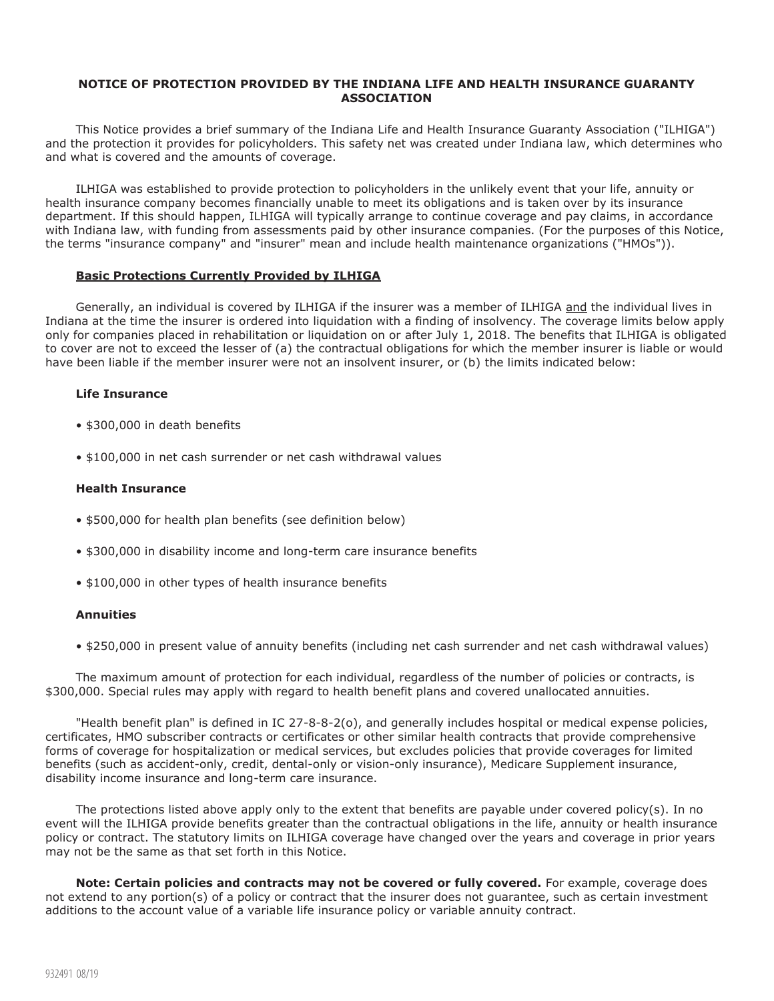## **NOTICE OF PROTECTION PROVIDED BY THE INDIANA LIFE AND HEALTH INSURANCE GUARANTY ASSOCIATION**

This Notice provides a brief summary of the Indiana Life and Health Insurance Guaranty Association ("ILHIGA") and the protection it provides for policyholders. This safety net was created under Indiana law, which determines who and what is covered and the amounts of coverage.

ILHIGA was established to provide protection to policyholders in the unlikely event that your life, annuity or health insurance company becomes financially unable to meet its obligations and is taken over by its insurance department. If this should happen, ILHIGA will typically arrange to continue coverage and pay claims, in accordance with Indiana law, with funding from assessments paid by other insurance companies. (For the purposes of this Notice, the terms "insurance company" and "insurer" mean and include health maintenance organizations ("HMOs")).

### **Basic Protections Currently Provided by ILHIGA**

Generally, an individual is covered by ILHIGA if the insurer was a member of ILHIGA and the individual lives in Indiana at the time the insurer is ordered into liquidation with a finding of insolvency. The coverage limits below apply only for companies placed in rehabilitation or liquidation on or after July 1, 2018. The benefits that ILHIGA is obligated to cover are not to exceed the lesser of (a) the contractual obligations for which the member insurer is liable or would have been liable if the member insurer were not an insolvent insurer, or (b) the limits indicated below:

### **Life Insurance**

- \$300,000 in death benefits
- \$100,000 in net cash surrender or net cash withdrawal values

# **Health Insurance**

- \$500,000 for health plan benefits (see definition below)
- \$300,000 in disability income and long-term care insurance benefits
- \$100,000 in other types of health insurance benefits

#### **Annuities**

• \$250,000 in present value of annuity benefits (including net cash surrender and net cash withdrawal values)

The maximum amount of protection for each individual, regardless of the number of policies or contracts, is \$300,000. Special rules may apply with regard to health benefit plans and covered unallocated annuities.

"Health benefit plan" is defined in IC 27-8-8-2(o), and generally includes hospital or medical expense policies, certificates, HMO subscriber contracts or certificates or other similar health contracts that provide comprehensive forms of coverage for hospitalization or medical services, but excludes policies that provide coverages for limited benefits (such as accident-only, credit, dental-only or vision-only insurance), Medicare Supplement insurance, disability income insurance and long-term care insurance.

The protections listed above apply only to the extent that benefits are payable under covered policy(s). In no event will the ILHIGA provide benefits greater than the contractual obligations in the life, annuity or health insurance policy or contract. The statutory limits on ILHIGA coverage have changed over the years and coverage in prior years may not be the same as that set forth in this Notice.

**Note: Certain policies and contracts may not be covered or fully covered.** For example, coverage does not extend to any portion(s) of a policy or contract that the insurer does not guarantee, such as certain investment additions to the account value of a variable life insurance policy or variable annuity contract.